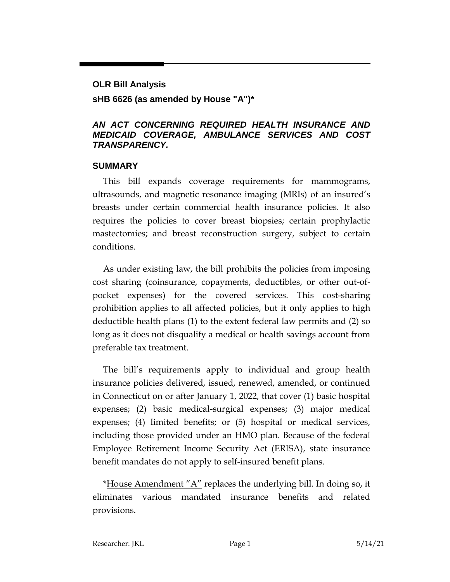# **OLR Bill Analysis sHB 6626 (as amended by House "A")\***

#### *AN ACT CONCERNING REQUIRED HEALTH INSURANCE AND MEDICAID COVERAGE, AMBULANCE SERVICES AND COST TRANSPARENCY.*

#### **SUMMARY**

This bill expands coverage requirements for mammograms, ultrasounds, and magnetic resonance imaging (MRIs) of an insured's breasts under certain commercial health insurance policies. It also requires the policies to cover breast biopsies; certain prophylactic mastectomies; and breast reconstruction surgery, subject to certain conditions.

As under existing law, the bill prohibits the policies from imposing cost sharing (coinsurance, copayments, deductibles, or other out-ofpocket expenses) for the covered services. This cost-sharing prohibition applies to all affected policies, but it only applies to high deductible health plans (1) to the extent federal law permits and (2) so long as it does not disqualify a medical or health savings account from preferable tax treatment.

The bill's requirements apply to individual and group health insurance policies delivered, issued, renewed, amended, or continued in Connecticut on or after January 1, 2022, that cover (1) basic hospital expenses; (2) basic medical-surgical expenses; (3) major medical expenses; (4) limited benefits; or (5) hospital or medical services, including those provided under an HMO plan. Because of the federal Employee Retirement Income Security Act (ERISA), state insurance benefit mandates do not apply to self-insured benefit plans.

\*House Amendment "A" replaces the underlying bill. In doing so, it eliminates various mandated insurance benefits and related provisions.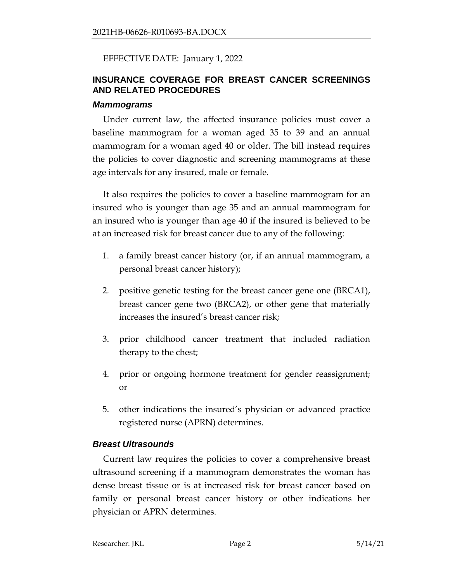EFFECTIVE DATE: January 1, 2022

# **INSURANCE COVERAGE FOR BREAST CANCER SCREENINGS AND RELATED PROCEDURES**

### *Mammograms*

Under current law, the affected insurance policies must cover a baseline mammogram for a woman aged 35 to 39 and an annual mammogram for a woman aged 40 or older. The bill instead requires the policies to cover diagnostic and screening mammograms at these age intervals for any insured, male or female.

It also requires the policies to cover a baseline mammogram for an insured who is younger than age 35 and an annual mammogram for an insured who is younger than age 40 if the insured is believed to be at an increased risk for breast cancer due to any of the following:

- 1. a family breast cancer history (or, if an annual mammogram, a personal breast cancer history);
- 2. positive genetic testing for the breast cancer gene one (BRCA1), breast cancer gene two (BRCA2), or other gene that materially increases the insured's breast cancer risk;
- 3. prior childhood cancer treatment that included radiation therapy to the chest;
- 4. prior or ongoing hormone treatment for gender reassignment; or
- 5. other indications the insured's physician or advanced practice registered nurse (APRN) determines.

## *Breast Ultrasounds*

Current law requires the policies to cover a comprehensive breast ultrasound screening if a mammogram demonstrates the woman has dense breast tissue or is at increased risk for breast cancer based on family or personal breast cancer history or other indications her physician or APRN determines.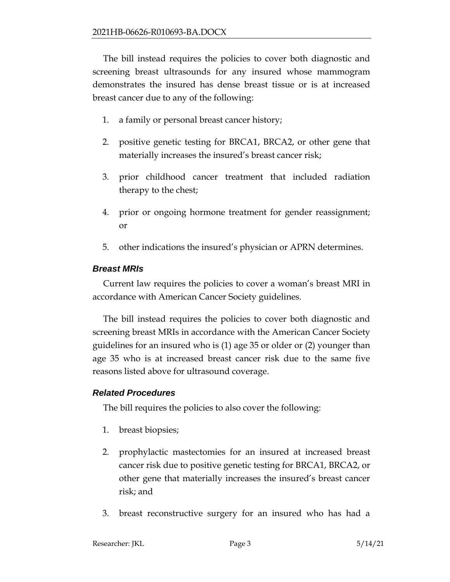The bill instead requires the policies to cover both diagnostic and screening breast ultrasounds for any insured whose mammogram demonstrates the insured has dense breast tissue or is at increased breast cancer due to any of the following:

- 1. a family or personal breast cancer history;
- 2. positive genetic testing for BRCA1, BRCA2, or other gene that materially increases the insured's breast cancer risk;
- 3. prior childhood cancer treatment that included radiation therapy to the chest;
- 4. prior or ongoing hormone treatment for gender reassignment; or
- 5. other indications the insured's physician or APRN determines.

#### *Breast MRIs*

Current law requires the policies to cover a woman's breast MRI in accordance with American Cancer Society guidelines.

The bill instead requires the policies to cover both diagnostic and screening breast MRIs in accordance with the American Cancer Society guidelines for an insured who is (1) age 35 or older or (2) younger than age 35 who is at increased breast cancer risk due to the same five reasons listed above for ultrasound coverage.

#### *Related Procedures*

The bill requires the policies to also cover the following:

- 1. breast biopsies;
- 2. prophylactic mastectomies for an insured at increased breast cancer risk due to positive genetic testing for BRCA1, BRCA2, or other gene that materially increases the insured's breast cancer risk; and
- 3. breast reconstructive surgery for an insured who has had a